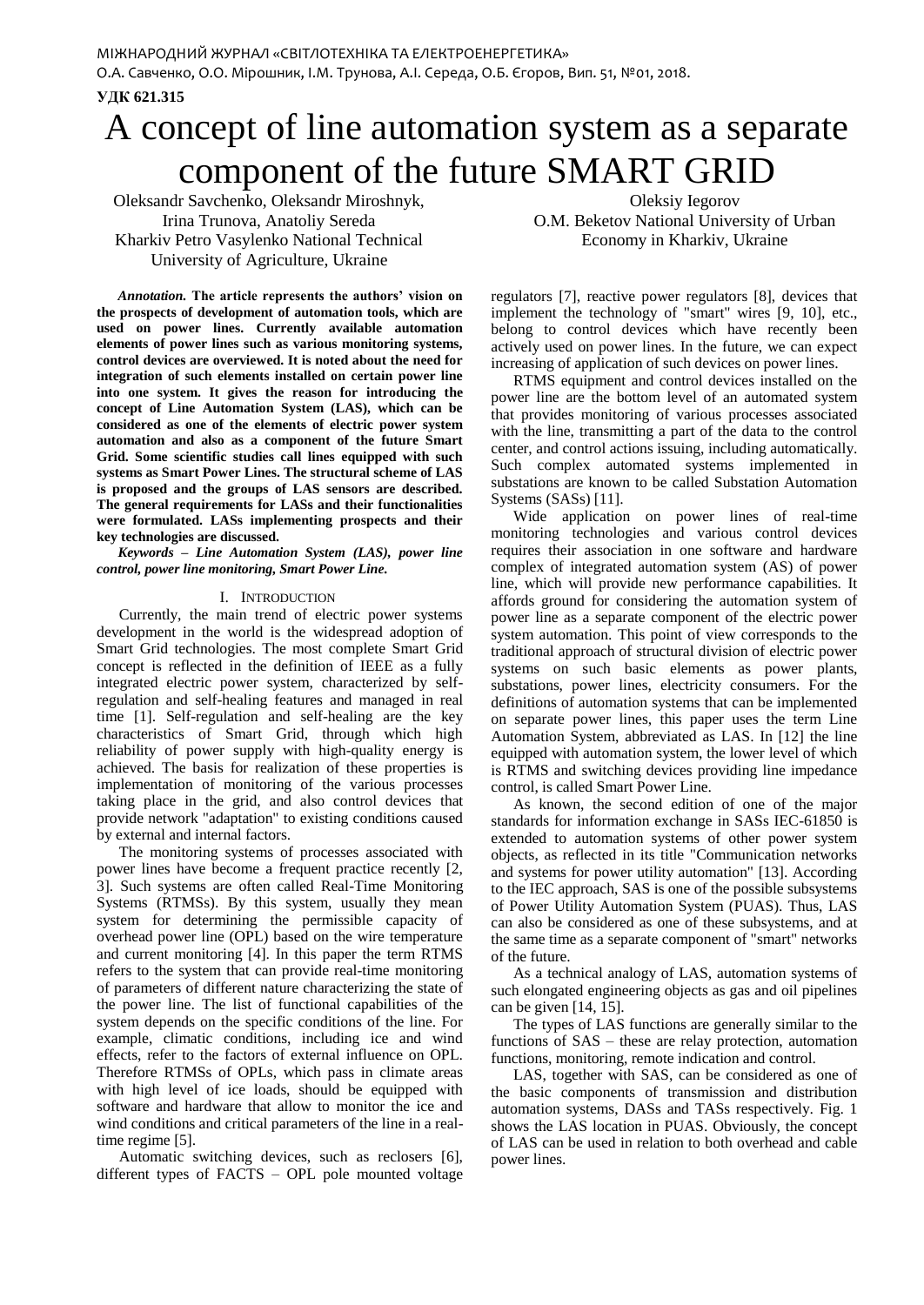# A concept of line automation system as a separate component of the future SMART GRID

Oleksandr Savchenko, Oleksandr Miroshnyk, Irina Trunova, Anatoliy Sereda Kharkiv Petro Vasylenko National Technical University of Agriculture, Ukraine

Oleksiy Iegorov O.M. Beketov National University of Urban Economy in Kharkiv, Ukraine

*Annotation.* **The article represents the authors' vision on the prospects of development of automation tools, which are used on power lines. Currently available automation elements of power lines such as various monitoring systems, control devices are overviewed. It is noted about the need for integration of such elements installed on certain power line into one system. It gives the reason for introducing the concept of Line Automation System (LAS), which can be considered as one of the elements of electric power system automation and also as a component of the future Smart Grid. Some scientific studies call lines equipped with such systems as Smart Power Lines. The structural scheme of LAS is proposed and the groups of LAS sensors are described. The general requirements for LASs and their functionalities were formulated. LASs implementing prospects and their key technologies are discussed.**

*Keywords – Line Automation System (LAS), power line control, power line monitoring, Smart Power Line.* 

### I. INTRODUCTION

Currently, the main trend of electric power systems development in the world is the widespread adoption of Smart Grid technologies. The most complete Smart Grid concept is reflected in the definition of IEEE as a fully integrated electric power system, characterized by selfregulation and self-healing features and managed in real time [1]. Self-regulation and self-healing are the key characteristics of Smart Grid, through which high reliability of power supply with high-quality energy is achieved. The basis for realization of these properties is implementation of monitoring of the various processes taking place in the grid, and also control devices that provide network "adaptation" to existing conditions caused by external and internal factors.

The monitoring systems of processes associated with power lines have become a frequent practice recently [2, 3]. Such systems are often called Real-Time Monitoring Systems (RTMSs). By this system, usually they mean system for determining the permissible capacity of overhead power line (OPL) based on the wire temperature and current monitoring [4]. In this paper the term RTMS refers to the system that can provide real-time monitoring of parameters of different nature characterizing the state of the power line. The list of functional capabilities of the system depends on the specific conditions of the line. For example, climatic conditions, including ice and wind effects, refer to the factors of external influence on OPL. Therefore RTMSs of OPLs, which pass in climate areas with high level of ice loads, should be equipped with software and hardware that allow to monitor the ice and wind conditions and critical parameters of the line in a realtime regime [5].

Automatic switching devices, such as reclosers [6], different types of FACTS – OPL pole mounted voltage

regulators [7], reactive power regulators [8], devices that implement the technology of "smart" wires [9, 10], etc., belong to control devices which have recently been actively used on power lines. In the future, we can expect increasing of application of such devices on power lines.

RTMS equipment and control devices installed on the power line are the bottom level of an automated system that provides monitoring of various processes associated with the line, transmitting a part of the data to the control center, and control actions issuing, including automatically. Such complex automated systems implemented in substations are known to be called Substation Automation Systems (SASs) [11].

Wide application on power lines of real-time monitoring technologies and various control devices requires their association in one software and hardware complex of integrated automation system (AS) of power line, which will provide new performance capabilities. It affords ground for considering the automation system of power line as a separate component of the electric power system automation. This point of view corresponds to the traditional approach of structural division of electric power systems on such basic elements as power plants, substations, power lines, electricity consumers. For the definitions of automation systems that can be implemented on separate power lines, this paper uses the term Line Automation System, abbreviated as LAS. In [12] the line equipped with automation system, the lower level of which is RTMS and switching devices providing line impedance control, is called Smart Power Line.

As known, the second edition of one of the major standards for information exchange in SASs IEC-61850 is extended to automation systems of other power system objects, as reflected in its title "Communication networks and systems for power utility automation" [13]. According to the IEC approach, SAS is one of the possible subsystems of Power Utility Automation System (PUAS). Thus, LAS can also be considered as one of these subsystems, and at the same time as a separate component of "smart" networks of the future.

As a technical analogy of LAS, automation systems of such elongated engineering objects as gas and oil pipelines can be given [14, 15].

The types of LAS functions are generally similar to the functions of SAS – these are relay protection, automation functions, monitoring, remote indication and control.

LAS, together with SAS, can be considered as one of the basic components of transmission and distribution automation systems, DASs and TASs respectively. Fig. 1 shows the LAS location in PUAS. Obviously, the concept of LAS can be used in relation to both overhead and cable power lines.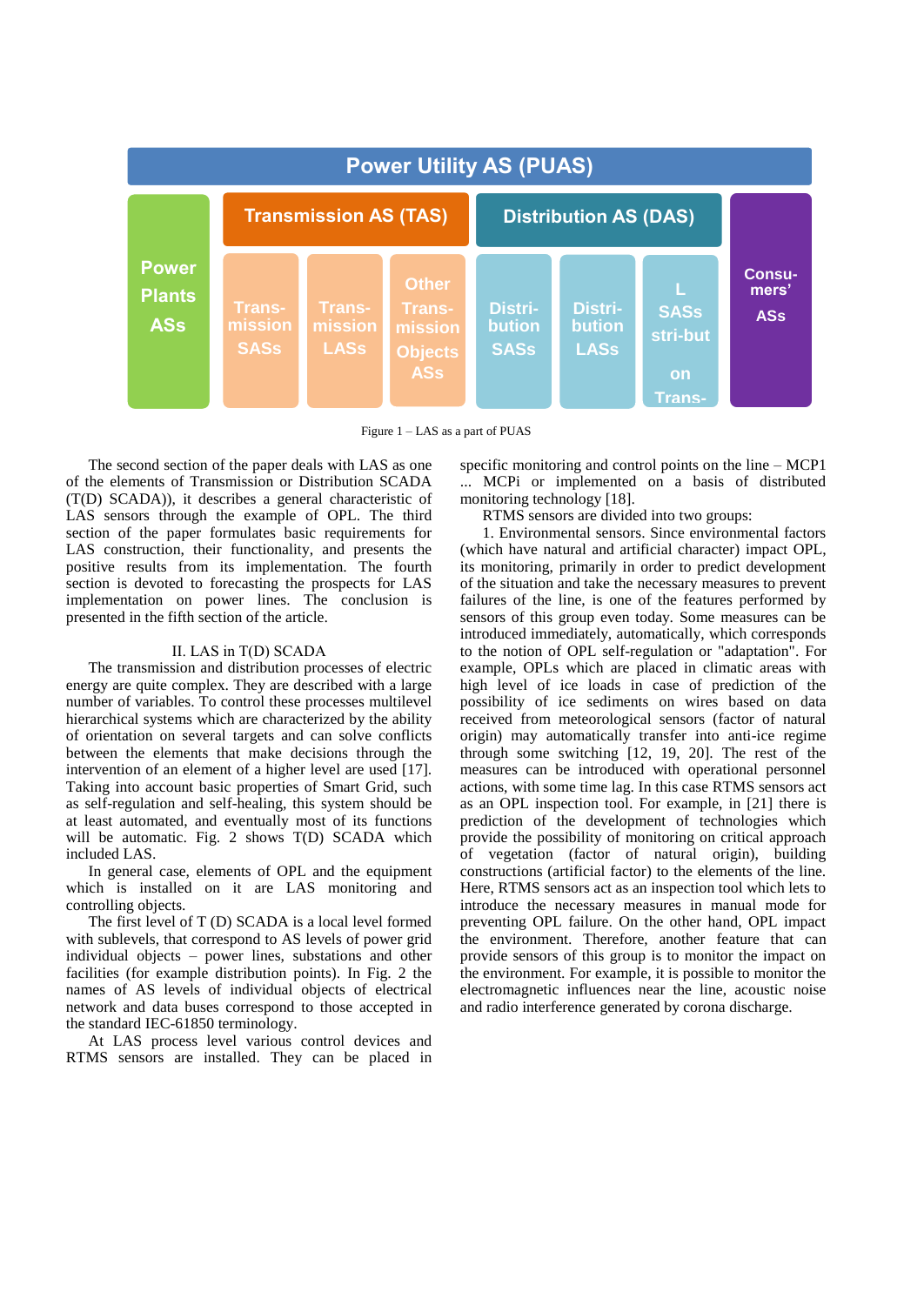

Figure 1 – LAS as a part of PUAS

The second section of the paper deals with LAS as one of the elements of Transmission or Distribution SCADA (T(D) SCADA)), it describes a general characteristic of LAS sensors through the example of OPL. The third section of the paper formulates basic requirements for LAS construction, their functionality, and presents the positive results from its implementation. The fourth section is devoted to forecasting the prospects for LAS implementation on power lines. The conclusion is presented in the fifth section of the article.

## ІІ. LAS in T(D) SCADA

The transmission and distribution processes of electric energy are quite complex. They are described with a large number of variables. To control these processes multilevel hierarchical systems which are characterized by the ability of orientation on several targets and can solve conflicts between the elements that make decisions through the intervention of an element of a higher level are used [17]. Taking into account basic properties of Smart Grid, such as self-regulation and self-healing, this system should be at least automated, and eventually most of its functions will be automatic. Fig. 2 shows T(D) SCADA which included LAS.

In general case, elements of OPL and the equipment which is installed on it are LAS monitoring and controlling objects.

The first level of T (D) SCADA is a local level formed with sublevels, that correspond to AS levels of power grid individual objects – power lines, substations and other facilities (for example distribution points). In Fig. 2 the names of AS levels of individual objects of electrical network and data buses correspond to those accepted in the standard IEC-61850 terminology.

At LAS process level various control devices and RTMS sensors are installed. They can be placed in

specific monitoring and control points on the line – MCP1 ... MCPi or implemented on a basis of distributed monitoring technology [18].

RTMS sensors are divided into two groups:

1. Environmental sensors. Since environmental factors (which have natural and artificial character) impact OPL, its monitoring, primarily in order to predict development of the situation and take the necessary measures to prevent failures of the line, is one of the features performed by sensors of this group even today. Some measures can be introduced immediately, automatically, which corresponds to the notion of OPL self-regulation or "adaptation". For example, OPLs which are placed in climatic areas with high level of ice loads in case of prediction of the possibility of ice sediments on wires based on data received from meteorological sensors (factor of natural origin) may automatically transfer into anti-ice regime through some switching [12, 19, 20]. The rest of the measures can be introduced with operational personnel actions, with some time lag. In this case RTMS sensors act as an OPL inspection tool. For example, in [21] there is prediction of the development of technologies which provide the possibility of monitoring on critical approach of vegetation (factor of natural origin), building constructions (artificial factor) to the elements of the line. Here, RTMS sensors act as an inspection tool which lets to introduce the necessary measures in manual mode for preventing OPL failure. On the other hand, OPL impact the environment. Therefore, another feature that can provide sensors of this group is to monitor the impact on the environment. For example, it is possible to monitor the electromagnetic influences near the line, acoustic noise and radio interference generated by corona discharge.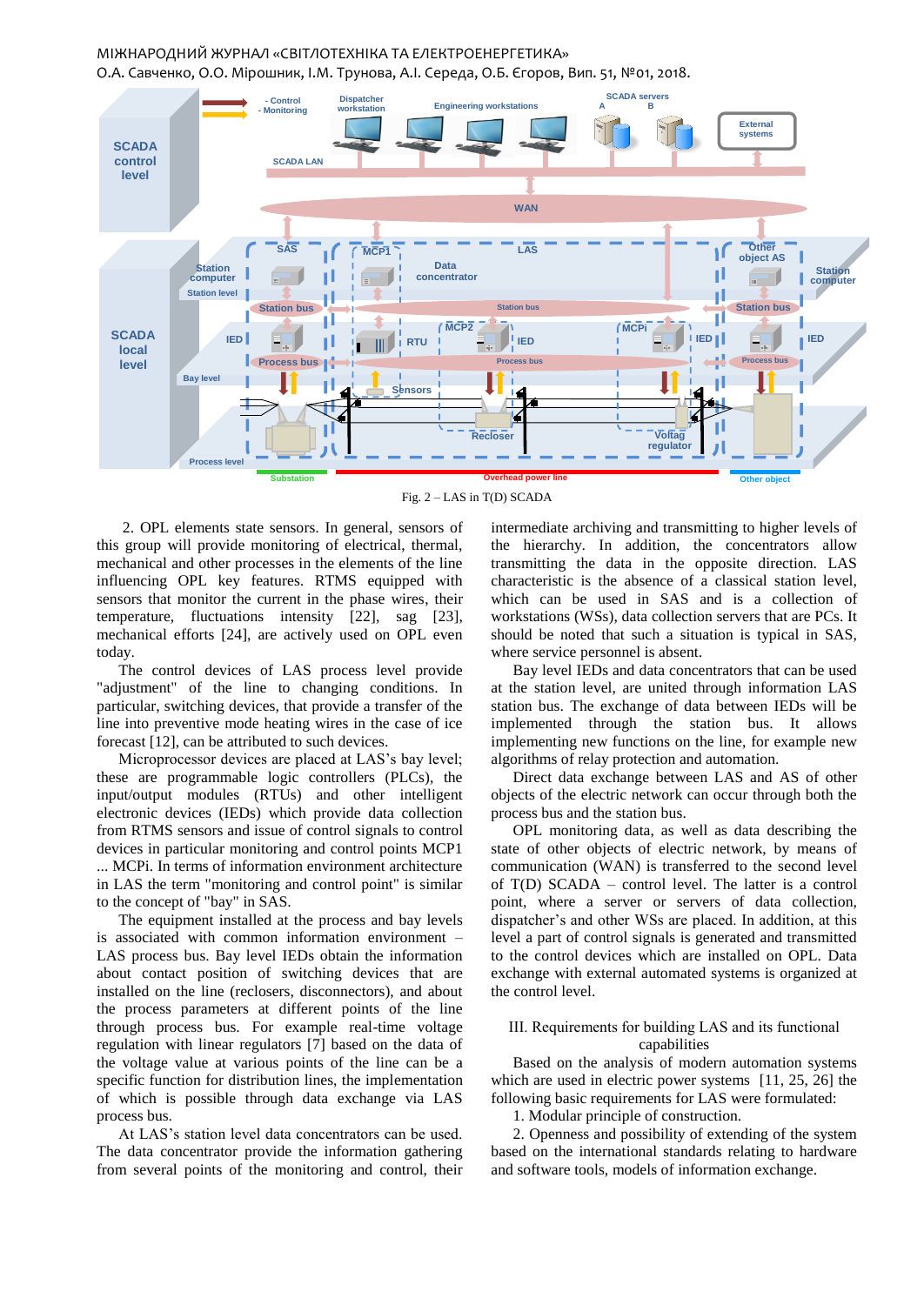# МІЖНАРОДНИЙ ЖУРНАЛ «СВІТЛОТЕХНІКА ТА ЕЛЕКТРОЕНЕРГЕТИКА»

О.А. Савченко, О.О. Мірошник, І.М. Трунова, А.І. Середа, О.Б. Єгоров, Вип. 51, №01, 2018.



Fig. 2 – LAS in T(D) SCADA

2. OPL elements state sensors. In general, sensors of this group will provide monitoring of electrical, thermal, mechanical and other processes in the elements of the line influencing OPL key features. RTMS equipped with sensors that monitor the current in the phase wires, their temperature, fluctuations intensity [22], sag [23], mechanical efforts [24], are actively used on OPL even today.

The control devices of LAS process level provide "adjustment" of the line to changing conditions. In particular, switching devices, that provide a transfer of the line into preventive mode heating wires in the case of ice forecast [12], can be attributed to such devices.

Microprocessor devices are placed at LAS's bay level; these are programmable logic controllers (PLCs), the input/output modules (RTUs) and other intelligent electronic devices (IEDs) which provide data collection from RTMS sensors and issue of control signals to control devices in particular monitoring and control points MCP1

... MCPi. In terms of information environment architecture in LAS the term "monitoring and control point" is similar to the concept of "bay" in SAS.

The equipment installed at the process and bay levels is associated with common information environment – LAS process bus. Bay level IEDs obtain the information about contact position of switching devices that are installed on the line (reclosers, disconnectors), and about the process parameters at different points of the line through process bus. For example real-time voltage regulation with linear regulators [7] based on the data of the voltage value at various points of the line can be a specific function for distribution lines, the implementation of which is possible through data exchange via LAS process bus.

At LAS's station level data concentrators can be used. The data concentrator provide the information gathering from several points of the monitoring and control, their intermediate archiving and transmitting to higher levels of the hierarchy. In addition, the concentrators allow transmitting the data in the opposite direction. LAS characteristic is the absence of a classical station level, which can be used in SAS and is a collection of workstations (WSs), data collection servers that are PCs. It should be noted that such a situation is typical in SAS, where service personnel is absent.

Bay level IEDs and data concentrators that can be used at the station level, are united through information LAS station bus. The exchange of data between IEDs will be implemented through the station bus. It allows implementing new functions on the line, for example new algorithms of relay protection and automation.

Direct data exchange between LAS and AS of other objects of the electric network can occur through both the process bus and the station bus.

OPL monitoring data, as well as data describing the state of other objects of electric network, by means of communication (WAN) is transferred to the second level of T(D) SCADA – control level. The latter is a control point, where a server or servers of data collection, dispatcher's and other WSs are placed. In addition, at this level a part of control signals is generated and transmitted to the control devices which are installed on OPL. Data exchange with external automated systems is organized at the control level.

# ІІІ. Requirements for building LAS and its functional capabilities

Based on the analysis of modern automation systems which are used in electric power systems [11, 25, 26] the following basic requirements for LAS were formulated:

1. Modular principle of construction.

2. Openness and possibility of extending of the system based on the international standards relating to hardware and software tools, models of information exchange.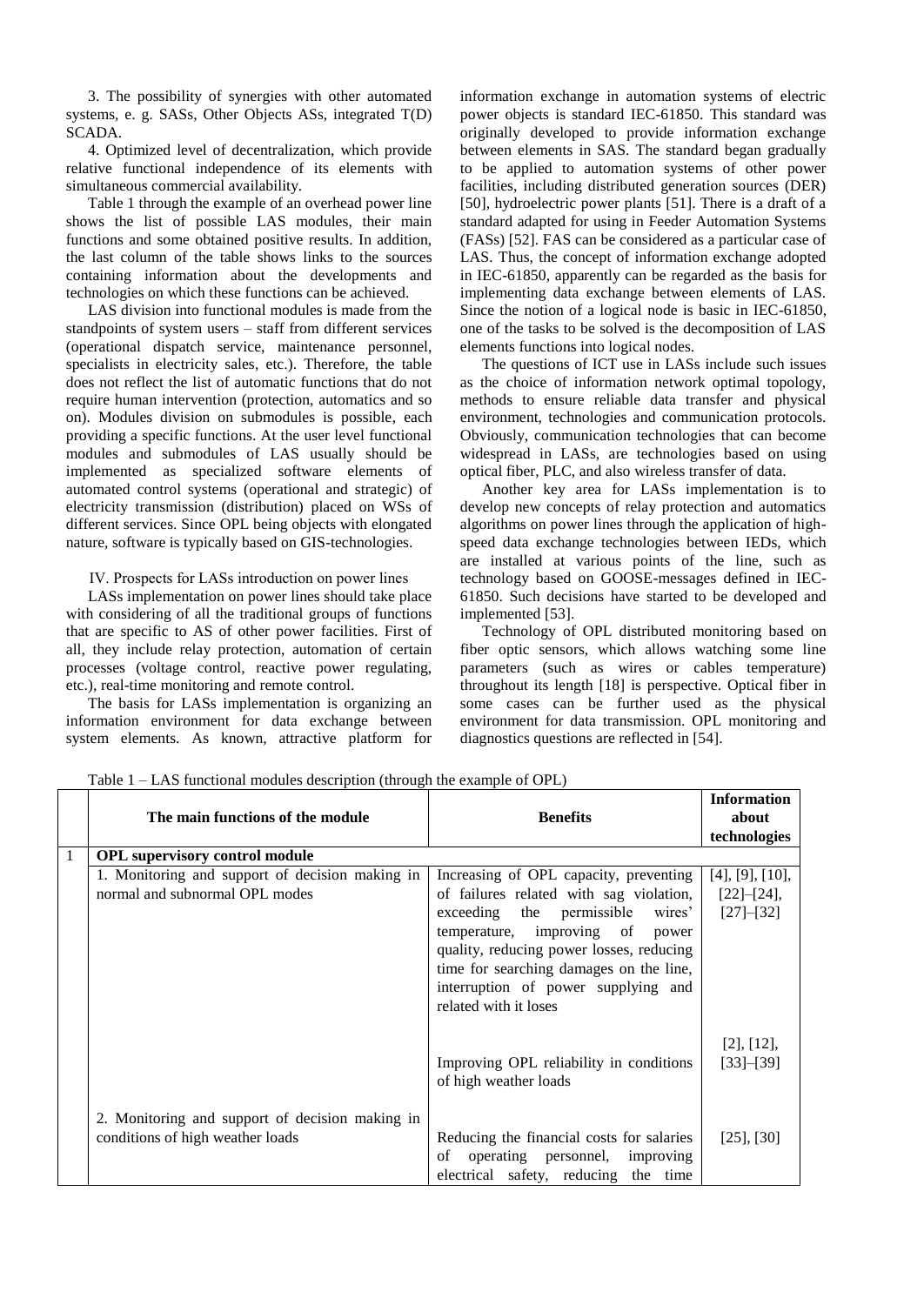3. The possibility of synergies with other automated systems, e. g. SASs, Other Objects ASs, integrated T(D) SCADA.

4. Optimized level of decentralization, which provide relative functional independence of its elements with simultaneous commercial availability.

Table 1 through the example of an overhead power line shows the list of possible LAS modules, their main functions and some obtained positive results. In addition, the last column of the table shows links to the sources containing information about the developments and technologies on which these functions can be achieved.

LAS division into functional modules is made from the standpoints of system users – staff from different services (operational dispatch service, maintenance personnel, specialists in electricity sales, etc.). Therefore, the table does not reflect the list of automatic functions that do not require human intervention (protection, automatics and so on). Modules division on submodules is possible, each providing a specific functions. At the user level functional modules and submodules of LAS usually should be implemented as specialized software elements of automated control systems (operational and strategic) of electricity transmission (distribution) placed on WSs of different services. Since OPL being objects with elongated nature, software is typically based on GIS-technologies.

ІV. Prospects for LASs introduction on power lines

LASs implementation on power lines should take place with considering of all the traditional groups of functions that are specific to AS of other power facilities. First of all, they include relay protection, automation of certain processes (voltage control, reactive power regulating, etc.), real-time monitoring and remote control.

The basis for LASs implementation is organizing an information environment for data exchange between system elements. As known, attractive platform for

information exchange in automation systems of electric power objects is standard IEC-61850. This standard was originally developed to provide information exchange between elements in SAS. The standard began gradually to be applied to automation systems of other power facilities, including distributed generation sources (DER) [50], hydroelectric power plants [51]. There is a draft of a standard adapted for using in Feeder Automation Systems (FASs) [52]. FAS can be considered as a particular case of LAS. Thus, the concept of information exchange adopted in IEC-61850, apparently can be regarded as the basis for implementing data exchange between elements of LAS. Since the notion of a logical node is basic in IEC-61850, one of the tasks to be solved is the decomposition of LAS elements functions into logical nodes.

The questions of ICT use in LASs include such issues as the choice of information network optimal topology, methods to ensure reliable data transfer and physical environment, technologies and communication protocols. Obviously, communication technologies that can become widespread in LASs, are technologies based on using optical fiber, PLC, and also wireless transfer of data.

Another key area for LASs implementation is to develop new concepts of relay protection and automatics algorithms on power lines through the application of highspeed data exchange technologies between IEDs, which are installed at various points of the line, such as technology based on GOOSE-messages defined in IEC-61850. Such decisions have started to be developed and implemented [53].

Technology of OPL distributed monitoring based on fiber optic sensors, which allows watching some line parameters (such as wires or cables temperature) throughout its length [18] is perspective. Optical fiber in some cases can be further used as the physical environment for data transmission. OPL monitoring and diagnostics questions are reflected in [54].

|    | The main functions of the module                | <b>Benefits</b>                                                  | <b>Information</b><br>about<br>technologies |
|----|-------------------------------------------------|------------------------------------------------------------------|---------------------------------------------|
| -1 | <b>OPL</b> supervisory control module           |                                                                  |                                             |
|    | 1. Monitoring and support of decision making in | Increasing of OPL capacity, preventing                           | $[4]$ , $[9]$ , $[10]$ ,                    |
|    | normal and subnormal OPL modes                  | of failures related with sag violation,                          | $[22]-[24],$                                |
|    |                                                 | exceeding the permissible<br>wires'                              | [27]–[32]                                   |
|    |                                                 | temperature, improving of<br>power                               |                                             |
|    |                                                 | quality, reducing power losses, reducing                         |                                             |
|    |                                                 | time for searching damages on the line,                          |                                             |
|    |                                                 | interruption of power supplying and<br>related with it loses     |                                             |
|    |                                                 | Improving OPL reliability in conditions<br>of high weather loads | [2], [12],<br>$[33]-[39]$                   |
|    | 2. Monitoring and support of decision making in |                                                                  |                                             |
|    | conditions of high weather loads                | Reducing the financial costs for salaries                        | $[25]$ , $[30]$                             |
|    |                                                 | operating personnel, improving<br>of                             |                                             |
|    |                                                 | electrical safety, reducing the time                             |                                             |

Table 1 – LAS functional modules description (through the example of OPL)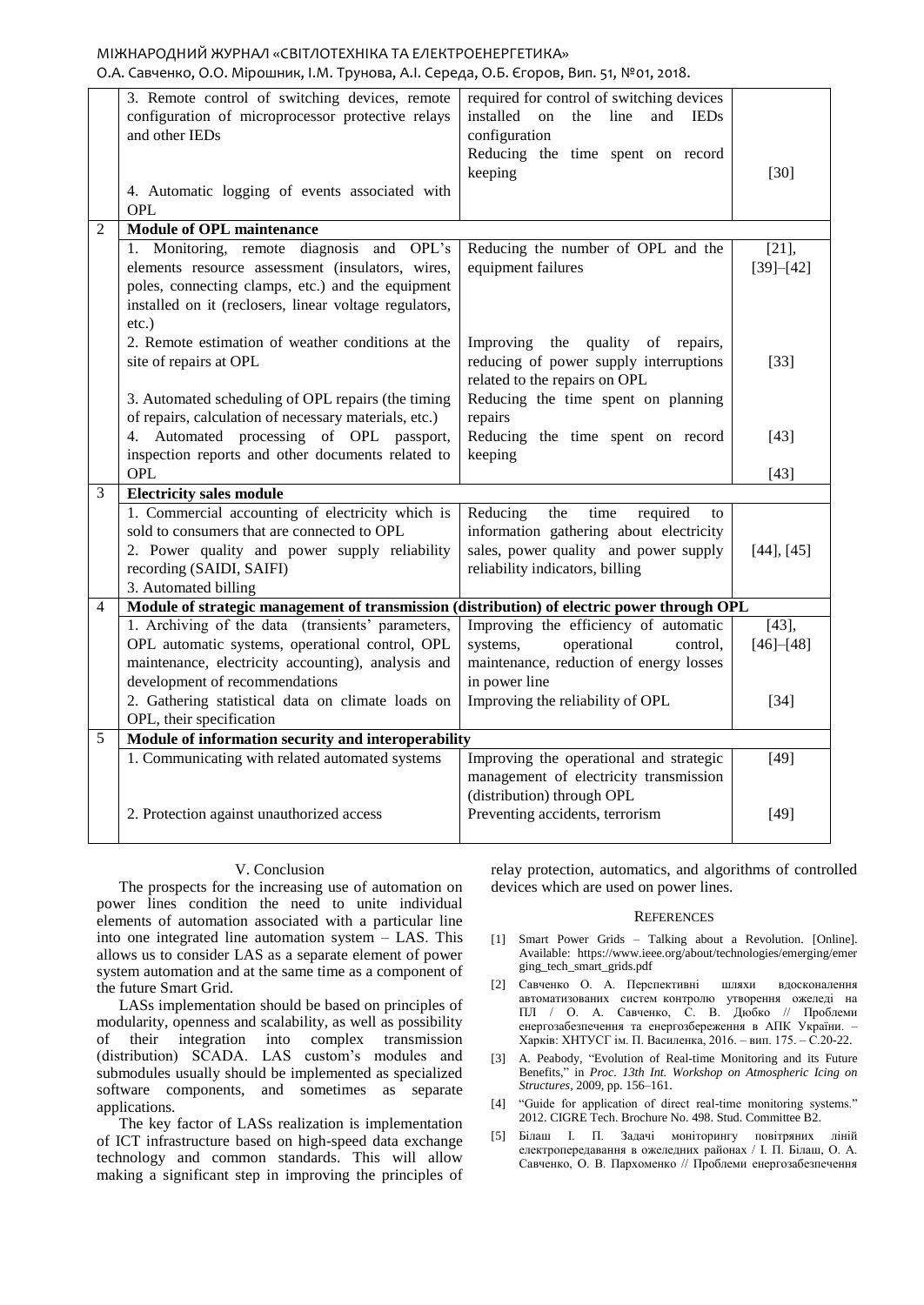МІЖНАРОДНИЙ ЖУРНАЛ «СВІТЛОТЕХНІКА ТА ЕЛЕКТРОЕНЕРГЕТИКА»

О.А. Савченко, О.О. Мірошник, І.М. Трунова, А.І. Середа, О.Б. Єгоров, Вип. 51, №01, 2018.

| 3. Remote control of switching devices, remote<br>required for control of switching devices<br>configuration of microprocessor protective relays<br>installed on<br>the line<br>and<br><b>IEDs</b><br>and other IEDs<br>configuration<br>Reducing the time spent on record<br>keeping<br>$[30]$<br>4. Automatic logging of events associated with<br><b>OPL</b><br><b>Module of OPL maintenance</b><br>2<br>Reducing the number of OPL and the<br>$[21]$ ,<br>1. Monitoring, remote diagnosis and OPL's<br>elements resource assessment (insulators, wires,<br>equipment failures<br>$[39] - [42]$<br>poles, connecting clamps, etc.) and the equipment<br>installed on it (reclosers, linear voltage regulators,<br>$etc.$ )<br>2. Remote estimation of weather conditions at the<br>Improving the quality of repairs,<br>reducing of power supply interruptions<br>site of repairs at OPL<br>$[33]$<br>related to the repairs on OPL<br>Reducing the time spent on planning<br>3. Automated scheduling of OPL repairs (the timing<br>of repairs, calculation of necessary materials, etc.)<br>repairs<br>4. Automated processing of OPL passport,<br>Reducing the time spent on record<br>$[43]$<br>inspection reports and other documents related to<br>keeping<br><b>OPL</b><br>$[43]$<br>3<br><b>Electricity sales module</b><br>1. Commercial accounting of electricity which is<br>Reducing<br>required<br>the<br>time<br>to<br>sold to consumers that are connected to OPL<br>information gathering about electricity<br>sales, power quality and power supply<br>2. Power quality and power supply reliability<br>$[44]$ , $[45]$<br>reliability indicators, billing<br>recording (SAIDI, SAIFI)<br>3. Automated billing<br>Module of strategic management of transmission (distribution) of electric power through OPL<br>4<br>1. Archiving of the data (transients' parameters,<br>Improving the efficiency of automatic<br>$[43]$ ,<br>OPL automatic systems, operational control, OPL<br>systems,<br>operational<br>$[46] - [48]$<br>control,<br>maintenance, reduction of energy losses<br>maintenance, electricity accounting), analysis and<br>development of recommendations<br>in power line<br>Improving the reliability of OPL<br>2. Gathering statistical data on climate loads on<br>$[34]$<br>OPL, their specification<br>Module of information security and interoperability<br>5<br>1. Communicating with related automated systems<br>Improving the operational and strategic<br>$[49]$<br>management of electricity transmission<br>(distribution) through OPL<br>Preventing accidents, terrorism<br>2. Protection against unauthorized access<br>$[49]$ |  |  |
|-------------------------------------------------------------------------------------------------------------------------------------------------------------------------------------------------------------------------------------------------------------------------------------------------------------------------------------------------------------------------------------------------------------------------------------------------------------------------------------------------------------------------------------------------------------------------------------------------------------------------------------------------------------------------------------------------------------------------------------------------------------------------------------------------------------------------------------------------------------------------------------------------------------------------------------------------------------------------------------------------------------------------------------------------------------------------------------------------------------------------------------------------------------------------------------------------------------------------------------------------------------------------------------------------------------------------------------------------------------------------------------------------------------------------------------------------------------------------------------------------------------------------------------------------------------------------------------------------------------------------------------------------------------------------------------------------------------------------------------------------------------------------------------------------------------------------------------------------------------------------------------------------------------------------------------------------------------------------------------------------------------------------------------------------------------------------------------------------------------------------------------------------------------------------------------------------------------------------------------------------------------------------------------------------------------------------------------------------------------------------------------------------------------------------------------------------------------------------------------------------------------------------------------------------------------------------------------------------------------------------------------------------------------------------------------|--|--|
|                                                                                                                                                                                                                                                                                                                                                                                                                                                                                                                                                                                                                                                                                                                                                                                                                                                                                                                                                                                                                                                                                                                                                                                                                                                                                                                                                                                                                                                                                                                                                                                                                                                                                                                                                                                                                                                                                                                                                                                                                                                                                                                                                                                                                                                                                                                                                                                                                                                                                                                                                                                                                                                                                     |  |  |
|                                                                                                                                                                                                                                                                                                                                                                                                                                                                                                                                                                                                                                                                                                                                                                                                                                                                                                                                                                                                                                                                                                                                                                                                                                                                                                                                                                                                                                                                                                                                                                                                                                                                                                                                                                                                                                                                                                                                                                                                                                                                                                                                                                                                                                                                                                                                                                                                                                                                                                                                                                                                                                                                                     |  |  |
|                                                                                                                                                                                                                                                                                                                                                                                                                                                                                                                                                                                                                                                                                                                                                                                                                                                                                                                                                                                                                                                                                                                                                                                                                                                                                                                                                                                                                                                                                                                                                                                                                                                                                                                                                                                                                                                                                                                                                                                                                                                                                                                                                                                                                                                                                                                                                                                                                                                                                                                                                                                                                                                                                     |  |  |
|                                                                                                                                                                                                                                                                                                                                                                                                                                                                                                                                                                                                                                                                                                                                                                                                                                                                                                                                                                                                                                                                                                                                                                                                                                                                                                                                                                                                                                                                                                                                                                                                                                                                                                                                                                                                                                                                                                                                                                                                                                                                                                                                                                                                                                                                                                                                                                                                                                                                                                                                                                                                                                                                                     |  |  |
|                                                                                                                                                                                                                                                                                                                                                                                                                                                                                                                                                                                                                                                                                                                                                                                                                                                                                                                                                                                                                                                                                                                                                                                                                                                                                                                                                                                                                                                                                                                                                                                                                                                                                                                                                                                                                                                                                                                                                                                                                                                                                                                                                                                                                                                                                                                                                                                                                                                                                                                                                                                                                                                                                     |  |  |
|                                                                                                                                                                                                                                                                                                                                                                                                                                                                                                                                                                                                                                                                                                                                                                                                                                                                                                                                                                                                                                                                                                                                                                                                                                                                                                                                                                                                                                                                                                                                                                                                                                                                                                                                                                                                                                                                                                                                                                                                                                                                                                                                                                                                                                                                                                                                                                                                                                                                                                                                                                                                                                                                                     |  |  |
|                                                                                                                                                                                                                                                                                                                                                                                                                                                                                                                                                                                                                                                                                                                                                                                                                                                                                                                                                                                                                                                                                                                                                                                                                                                                                                                                                                                                                                                                                                                                                                                                                                                                                                                                                                                                                                                                                                                                                                                                                                                                                                                                                                                                                                                                                                                                                                                                                                                                                                                                                                                                                                                                                     |  |  |
|                                                                                                                                                                                                                                                                                                                                                                                                                                                                                                                                                                                                                                                                                                                                                                                                                                                                                                                                                                                                                                                                                                                                                                                                                                                                                                                                                                                                                                                                                                                                                                                                                                                                                                                                                                                                                                                                                                                                                                                                                                                                                                                                                                                                                                                                                                                                                                                                                                                                                                                                                                                                                                                                                     |  |  |
|                                                                                                                                                                                                                                                                                                                                                                                                                                                                                                                                                                                                                                                                                                                                                                                                                                                                                                                                                                                                                                                                                                                                                                                                                                                                                                                                                                                                                                                                                                                                                                                                                                                                                                                                                                                                                                                                                                                                                                                                                                                                                                                                                                                                                                                                                                                                                                                                                                                                                                                                                                                                                                                                                     |  |  |
|                                                                                                                                                                                                                                                                                                                                                                                                                                                                                                                                                                                                                                                                                                                                                                                                                                                                                                                                                                                                                                                                                                                                                                                                                                                                                                                                                                                                                                                                                                                                                                                                                                                                                                                                                                                                                                                                                                                                                                                                                                                                                                                                                                                                                                                                                                                                                                                                                                                                                                                                                                                                                                                                                     |  |  |
|                                                                                                                                                                                                                                                                                                                                                                                                                                                                                                                                                                                                                                                                                                                                                                                                                                                                                                                                                                                                                                                                                                                                                                                                                                                                                                                                                                                                                                                                                                                                                                                                                                                                                                                                                                                                                                                                                                                                                                                                                                                                                                                                                                                                                                                                                                                                                                                                                                                                                                                                                                                                                                                                                     |  |  |
|                                                                                                                                                                                                                                                                                                                                                                                                                                                                                                                                                                                                                                                                                                                                                                                                                                                                                                                                                                                                                                                                                                                                                                                                                                                                                                                                                                                                                                                                                                                                                                                                                                                                                                                                                                                                                                                                                                                                                                                                                                                                                                                                                                                                                                                                                                                                                                                                                                                                                                                                                                                                                                                                                     |  |  |
|                                                                                                                                                                                                                                                                                                                                                                                                                                                                                                                                                                                                                                                                                                                                                                                                                                                                                                                                                                                                                                                                                                                                                                                                                                                                                                                                                                                                                                                                                                                                                                                                                                                                                                                                                                                                                                                                                                                                                                                                                                                                                                                                                                                                                                                                                                                                                                                                                                                                                                                                                                                                                                                                                     |  |  |
|                                                                                                                                                                                                                                                                                                                                                                                                                                                                                                                                                                                                                                                                                                                                                                                                                                                                                                                                                                                                                                                                                                                                                                                                                                                                                                                                                                                                                                                                                                                                                                                                                                                                                                                                                                                                                                                                                                                                                                                                                                                                                                                                                                                                                                                                                                                                                                                                                                                                                                                                                                                                                                                                                     |  |  |
|                                                                                                                                                                                                                                                                                                                                                                                                                                                                                                                                                                                                                                                                                                                                                                                                                                                                                                                                                                                                                                                                                                                                                                                                                                                                                                                                                                                                                                                                                                                                                                                                                                                                                                                                                                                                                                                                                                                                                                                                                                                                                                                                                                                                                                                                                                                                                                                                                                                                                                                                                                                                                                                                                     |  |  |
|                                                                                                                                                                                                                                                                                                                                                                                                                                                                                                                                                                                                                                                                                                                                                                                                                                                                                                                                                                                                                                                                                                                                                                                                                                                                                                                                                                                                                                                                                                                                                                                                                                                                                                                                                                                                                                                                                                                                                                                                                                                                                                                                                                                                                                                                                                                                                                                                                                                                                                                                                                                                                                                                                     |  |  |
|                                                                                                                                                                                                                                                                                                                                                                                                                                                                                                                                                                                                                                                                                                                                                                                                                                                                                                                                                                                                                                                                                                                                                                                                                                                                                                                                                                                                                                                                                                                                                                                                                                                                                                                                                                                                                                                                                                                                                                                                                                                                                                                                                                                                                                                                                                                                                                                                                                                                                                                                                                                                                                                                                     |  |  |
|                                                                                                                                                                                                                                                                                                                                                                                                                                                                                                                                                                                                                                                                                                                                                                                                                                                                                                                                                                                                                                                                                                                                                                                                                                                                                                                                                                                                                                                                                                                                                                                                                                                                                                                                                                                                                                                                                                                                                                                                                                                                                                                                                                                                                                                                                                                                                                                                                                                                                                                                                                                                                                                                                     |  |  |
|                                                                                                                                                                                                                                                                                                                                                                                                                                                                                                                                                                                                                                                                                                                                                                                                                                                                                                                                                                                                                                                                                                                                                                                                                                                                                                                                                                                                                                                                                                                                                                                                                                                                                                                                                                                                                                                                                                                                                                                                                                                                                                                                                                                                                                                                                                                                                                                                                                                                                                                                                                                                                                                                                     |  |  |
|                                                                                                                                                                                                                                                                                                                                                                                                                                                                                                                                                                                                                                                                                                                                                                                                                                                                                                                                                                                                                                                                                                                                                                                                                                                                                                                                                                                                                                                                                                                                                                                                                                                                                                                                                                                                                                                                                                                                                                                                                                                                                                                                                                                                                                                                                                                                                                                                                                                                                                                                                                                                                                                                                     |  |  |
|                                                                                                                                                                                                                                                                                                                                                                                                                                                                                                                                                                                                                                                                                                                                                                                                                                                                                                                                                                                                                                                                                                                                                                                                                                                                                                                                                                                                                                                                                                                                                                                                                                                                                                                                                                                                                                                                                                                                                                                                                                                                                                                                                                                                                                                                                                                                                                                                                                                                                                                                                                                                                                                                                     |  |  |
|                                                                                                                                                                                                                                                                                                                                                                                                                                                                                                                                                                                                                                                                                                                                                                                                                                                                                                                                                                                                                                                                                                                                                                                                                                                                                                                                                                                                                                                                                                                                                                                                                                                                                                                                                                                                                                                                                                                                                                                                                                                                                                                                                                                                                                                                                                                                                                                                                                                                                                                                                                                                                                                                                     |  |  |
|                                                                                                                                                                                                                                                                                                                                                                                                                                                                                                                                                                                                                                                                                                                                                                                                                                                                                                                                                                                                                                                                                                                                                                                                                                                                                                                                                                                                                                                                                                                                                                                                                                                                                                                                                                                                                                                                                                                                                                                                                                                                                                                                                                                                                                                                                                                                                                                                                                                                                                                                                                                                                                                                                     |  |  |
|                                                                                                                                                                                                                                                                                                                                                                                                                                                                                                                                                                                                                                                                                                                                                                                                                                                                                                                                                                                                                                                                                                                                                                                                                                                                                                                                                                                                                                                                                                                                                                                                                                                                                                                                                                                                                                                                                                                                                                                                                                                                                                                                                                                                                                                                                                                                                                                                                                                                                                                                                                                                                                                                                     |  |  |
|                                                                                                                                                                                                                                                                                                                                                                                                                                                                                                                                                                                                                                                                                                                                                                                                                                                                                                                                                                                                                                                                                                                                                                                                                                                                                                                                                                                                                                                                                                                                                                                                                                                                                                                                                                                                                                                                                                                                                                                                                                                                                                                                                                                                                                                                                                                                                                                                                                                                                                                                                                                                                                                                                     |  |  |
|                                                                                                                                                                                                                                                                                                                                                                                                                                                                                                                                                                                                                                                                                                                                                                                                                                                                                                                                                                                                                                                                                                                                                                                                                                                                                                                                                                                                                                                                                                                                                                                                                                                                                                                                                                                                                                                                                                                                                                                                                                                                                                                                                                                                                                                                                                                                                                                                                                                                                                                                                                                                                                                                                     |  |  |
|                                                                                                                                                                                                                                                                                                                                                                                                                                                                                                                                                                                                                                                                                                                                                                                                                                                                                                                                                                                                                                                                                                                                                                                                                                                                                                                                                                                                                                                                                                                                                                                                                                                                                                                                                                                                                                                                                                                                                                                                                                                                                                                                                                                                                                                                                                                                                                                                                                                                                                                                                                                                                                                                                     |  |  |
|                                                                                                                                                                                                                                                                                                                                                                                                                                                                                                                                                                                                                                                                                                                                                                                                                                                                                                                                                                                                                                                                                                                                                                                                                                                                                                                                                                                                                                                                                                                                                                                                                                                                                                                                                                                                                                                                                                                                                                                                                                                                                                                                                                                                                                                                                                                                                                                                                                                                                                                                                                                                                                                                                     |  |  |
|                                                                                                                                                                                                                                                                                                                                                                                                                                                                                                                                                                                                                                                                                                                                                                                                                                                                                                                                                                                                                                                                                                                                                                                                                                                                                                                                                                                                                                                                                                                                                                                                                                                                                                                                                                                                                                                                                                                                                                                                                                                                                                                                                                                                                                                                                                                                                                                                                                                                                                                                                                                                                                                                                     |  |  |
|                                                                                                                                                                                                                                                                                                                                                                                                                                                                                                                                                                                                                                                                                                                                                                                                                                                                                                                                                                                                                                                                                                                                                                                                                                                                                                                                                                                                                                                                                                                                                                                                                                                                                                                                                                                                                                                                                                                                                                                                                                                                                                                                                                                                                                                                                                                                                                                                                                                                                                                                                                                                                                                                                     |  |  |
|                                                                                                                                                                                                                                                                                                                                                                                                                                                                                                                                                                                                                                                                                                                                                                                                                                                                                                                                                                                                                                                                                                                                                                                                                                                                                                                                                                                                                                                                                                                                                                                                                                                                                                                                                                                                                                                                                                                                                                                                                                                                                                                                                                                                                                                                                                                                                                                                                                                                                                                                                                                                                                                                                     |  |  |
|                                                                                                                                                                                                                                                                                                                                                                                                                                                                                                                                                                                                                                                                                                                                                                                                                                                                                                                                                                                                                                                                                                                                                                                                                                                                                                                                                                                                                                                                                                                                                                                                                                                                                                                                                                                                                                                                                                                                                                                                                                                                                                                                                                                                                                                                                                                                                                                                                                                                                                                                                                                                                                                                                     |  |  |
|                                                                                                                                                                                                                                                                                                                                                                                                                                                                                                                                                                                                                                                                                                                                                                                                                                                                                                                                                                                                                                                                                                                                                                                                                                                                                                                                                                                                                                                                                                                                                                                                                                                                                                                                                                                                                                                                                                                                                                                                                                                                                                                                                                                                                                                                                                                                                                                                                                                                                                                                                                                                                                                                                     |  |  |
|                                                                                                                                                                                                                                                                                                                                                                                                                                                                                                                                                                                                                                                                                                                                                                                                                                                                                                                                                                                                                                                                                                                                                                                                                                                                                                                                                                                                                                                                                                                                                                                                                                                                                                                                                                                                                                                                                                                                                                                                                                                                                                                                                                                                                                                                                                                                                                                                                                                                                                                                                                                                                                                                                     |  |  |
|                                                                                                                                                                                                                                                                                                                                                                                                                                                                                                                                                                                                                                                                                                                                                                                                                                                                                                                                                                                                                                                                                                                                                                                                                                                                                                                                                                                                                                                                                                                                                                                                                                                                                                                                                                                                                                                                                                                                                                                                                                                                                                                                                                                                                                                                                                                                                                                                                                                                                                                                                                                                                                                                                     |  |  |
|                                                                                                                                                                                                                                                                                                                                                                                                                                                                                                                                                                                                                                                                                                                                                                                                                                                                                                                                                                                                                                                                                                                                                                                                                                                                                                                                                                                                                                                                                                                                                                                                                                                                                                                                                                                                                                                                                                                                                                                                                                                                                                                                                                                                                                                                                                                                                                                                                                                                                                                                                                                                                                                                                     |  |  |
|                                                                                                                                                                                                                                                                                                                                                                                                                                                                                                                                                                                                                                                                                                                                                                                                                                                                                                                                                                                                                                                                                                                                                                                                                                                                                                                                                                                                                                                                                                                                                                                                                                                                                                                                                                                                                                                                                                                                                                                                                                                                                                                                                                                                                                                                                                                                                                                                                                                                                                                                                                                                                                                                                     |  |  |
|                                                                                                                                                                                                                                                                                                                                                                                                                                                                                                                                                                                                                                                                                                                                                                                                                                                                                                                                                                                                                                                                                                                                                                                                                                                                                                                                                                                                                                                                                                                                                                                                                                                                                                                                                                                                                                                                                                                                                                                                                                                                                                                                                                                                                                                                                                                                                                                                                                                                                                                                                                                                                                                                                     |  |  |
|                                                                                                                                                                                                                                                                                                                                                                                                                                                                                                                                                                                                                                                                                                                                                                                                                                                                                                                                                                                                                                                                                                                                                                                                                                                                                                                                                                                                                                                                                                                                                                                                                                                                                                                                                                                                                                                                                                                                                                                                                                                                                                                                                                                                                                                                                                                                                                                                                                                                                                                                                                                                                                                                                     |  |  |
|                                                                                                                                                                                                                                                                                                                                                                                                                                                                                                                                                                                                                                                                                                                                                                                                                                                                                                                                                                                                                                                                                                                                                                                                                                                                                                                                                                                                                                                                                                                                                                                                                                                                                                                                                                                                                                                                                                                                                                                                                                                                                                                                                                                                                                                                                                                                                                                                                                                                                                                                                                                                                                                                                     |  |  |

#### V. Conclusion

The prospects for the increasing use of automation on power lines condition the need to unite individual elements of automation associated with a particular line into one integrated line automation system – LAS. This allows us to consider LAS as a separate element of power system automation and at the same time as a component of the future Smart Grid.

LASs implementation should be based on principles of modularity, openness and scalability, as well as possibility of their integration into complex transmission (distribution) SCADA. LAS custom's modules and submodules usually should be implemented as specialized software components, and sometimes as separate applications.

The key factor of LASs realization is implementation of ICT infrastructure based on high-speed data exchange technology and common standards. This will allow making a significant step in improving the principles of relay protection, automatics, and algorithms of controlled devices which are used on power lines.

#### **REFERENCES**

- [1] Smart Power Grids Talking about a Revolution. [Online]. Available: https://www.ieee.org/about/technologies/emerging/emer ging\_tech\_smart\_grids.pdf
- [2] Савченко О. А. Перспективні шляхи вдосконалення автоматизованих систем контролю утворення ожеледі на ПЛ / О. А. Савченко, С. В. Дюбко // Проблеми енергозабезпечення та енергозбереження в АПК України. – Харків: ХНТУСГ ім. П. Василенка, 2016. – вип. 175. – С.20-22.
- [3] A. Peabody, "Evolution of Real-time Monitoring and its Future Benefits," in *Proc. 13th Int. Workshop on Atmospheric Icing on Structures,* 2009, pp. 156–161.
- [4] "Guide for application of direct real-time monitoring systems." 2012. CIGRE Tech. Brochure No. 498. Stud. Committee B2.
- [5] Білаш І. П. Задачі моніторингу повітряних ліній електропередавання в ожеледних районах / І. П. Білаш, О. А. Савченко, О. В. Пархоменко // Проблеми енергозабезпечення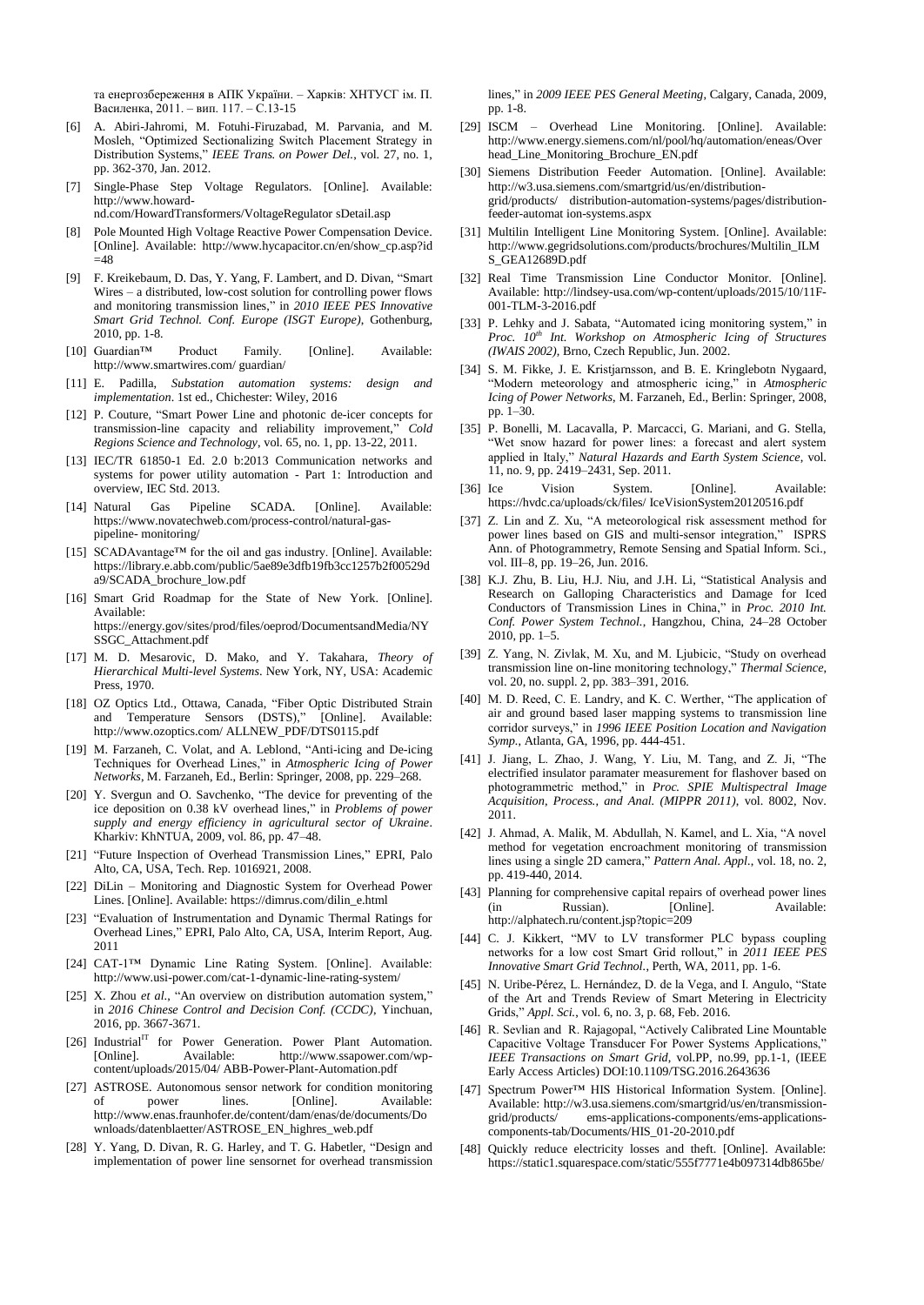та енергозбереження в АПК України. – Харків: ХНТУСГ ім. П. Василенка, 2011. – вип. 117. – С.13-15

- [6] A. Abiri-Jahromi, M. Fotuhi-Firuzabad, M. Parvania, and M. Mosleh, "Optimized Sectionalizing Switch Placement Strategy in Distribution Systems," *IEEE Trans. on Power Del.*, vol. 27, no. 1, pp. 362-370, Jan. 2012.
- [7] Single-Phase Step Voltage Regulators. [Online]. Available: http://www.howard-
- nd.com/HowardTransformers/VoltageRegulator sDetail.asp
- [8] Pole Mounted High Voltage Reactive Power Compensation Device. [Online]. Available: http://www.hycapacitor.cn/en/show\_cp.asp?id  $=48$
- [9] F. Kreikebaum, D. Das, Y. Yang, F. Lambert, and D. Divan, "Smart Wires – a distributed, low-cost solution for controlling power flows and monitoring transmission lines," in *2010 IEEE PES Innovative Smart Grid Technol. Conf. Europe (ISGT Europe)*, Gothenburg, 2010, pp. 1-8.
- [10] Guardian™ Product Family. [Online]. Available: http://www.smartwires.com/ guardian/
- [11] E. Padilla, *Substation automation systems: design and implementation*. 1st ed., Chichester: Wiley, 2016
- [12] P. Couture, "Smart Power Line and photonic de-icer concepts for transmission-line capacity and reliability improvement," *Cold Regions Science and Technology*, vol. 65, no. 1, pp. 13-22, 2011.
- [13] IEC/TR 61850-1 Ed. 2.0 b:2013 Communication networks and systems for power utility automation - Part 1: Introduction and overview, IEC Std. 2013.
- [14] Natural Gas Pipeline SCADA. [Online]. Available: https://www.novatechweb.com/process-control/natural-gaspipeline- monitoring/
- [15] SCADAvantage™ for the oil and gas industry. [Online]. Available: https://library.e.abb.com/public/5ae89e3dfb19fb3cc1257b2f00529d a9/SCADA\_brochure\_low.pdf
- [16] Smart Grid Roadmap for the State of New York. [Online]. Available: https://energy.gov/sites/prod/files/oeprod/DocumentsandMedia/NY SSGC\_Attachment.pdf
- [17] M. D. Mesarovic, D. Mako, and Y. Takahara, *Theory of Hierarchical Multi-level Systems*. New York, NY, USA: Academic Press, 1970.
- [18] OZ Optics Ltd., Ottawa, Canada, "Fiber Optic Distributed Strain and Temperature Sensors (DSTS)," [Online]. Available: http://www.ozoptics.com/ ALLNEW\_PDF/DTS0115.pdf
- [19] M. Farzaneh, C. Volat, and A. Leblond, "Anti-icing and De-icing Techniques for Overhead Lines," in *Atmospheric Icing of Power Networks*, M. Farzaneh, Ed., Berlin: Springer, 2008, pp. 229–268.
- [20] Y. Svergun and O. Savchenko, "The device for preventing of the ice deposition on 0.38 kV overhead lines," in *Problems of power supply and energy efficiency in agricultural sector of Ukraine*. Kharkiv: KhNTUA, 2009, vol. 86, pp. 47–48.
- [21] "Future Inspection of Overhead Transmission Lines," EPRI, Palo Alto, CA, USA, Tech. Rep. 1016921, 2008.
- [22] DiLin Monitoring and Diagnostic System for Overhead Power Lines. [Online]. Available: https://dimrus.com/dilin\_e.html
- [23] "Evaluation of Instrumentation and Dynamic Thermal Ratings for Overhead Lines," EPRI, Palo Alto, CA, USA, Interim Report, Aug. 2011
- [24] CAT-1™ Dynamic Line Rating System. [Online]. Available: http://www.usi-power.com/cat-1-dynamic-line-rating-system/
- [25] X. Zhou *et al*., "An overview on distribution automation system," in *2016 Chinese Control and Decision Conf. (CCDC)*, Yinchuan, 2016, pp. 3667-3671.
- [26] Industrial<sup>IT</sup> for Power Generation. Power Plant Automation. [Online]. Available: http://www.ssapower.com/wpcontent/uploads/2015/04/ ABB-Power-Plant-Automation.pdf
- [27] ASTROSE. Autonomous sensor network for condition monitoring of power lines. [Online]. Available: http://www.enas.fraunhofer.de/content/dam/enas/de/documents/Do wnloads/datenblaetter/ASTROSE\_EN\_highres\_web.pdf
- [28] Y. Yang, D. Divan, R. G. Harley, and T. G. Habetler, "Design and implementation of power line sensornet for overhead transmission

lines," in *2009 IEEE PES General Meeting*, Calgary, Canada, 2009, pp. 1-8.

- [29] ISCM Overhead Line Monitoring. [Online]. Available: http://www.energy.siemens.com/nl/pool/hq/automation/eneas/Over head\_Line\_Monitoring\_Brochure\_EN.pdf
- [30] Siemens Distribution Feeder Automation. [Online]. Available: http://w3.usa.siemens.com/smartgrid/us/en/distributiongrid/products/ distribution-automation-systems/pages/distributionfeeder-automat ion-systems.aspx
- [31] Multilin Intelligent Line Monitoring System. [Online]. Available: http://www.gegridsolutions.com/products/brochures/Multilin\_ILM S\_GEA12689D.pdf
- [32] Real Time Transmission Line Conductor Monitor. [Online]. Available: http://lindsey-usa.com/wp-content/uploads/2015/10/11F-001-TLM-3-2016.pdf
- [33] P. Lehky and J. Sabata, "Automated icing monitoring system," in *Proc. 10th Int. Workshop on Atmospheric Icing of Structures (IWAIS 2002)*, Brno, Czech Republic, Jun. 2002.
- [34] S. M. Fikke, J. E. Kristjarnsson, and B. E. Kringlebotn Nygaard, "Modern meteorology and atmospheric icing," in *Atmospheric Icing of Power Networks*, M. Farzaneh, Ed., Berlin: Springer, 2008, pp. 1–30.
- [35] P. Bonelli, M. Lacavalla, P. Marcacci, G. Mariani, and G. Stella, "Wet snow hazard for power lines: a forecast and alert system applied in Italy," *Natural Hazards and Earth System Science*, vol. 11, no. 9, pp. 2419–2431, Sep. 2011.
- [36] Ice Vision System. [Online]. Available: https://hvdc.ca/uploads/ck/files/ IceVisionSystem20120516.pdf
- [37] Z. Lin and Z. Xu, "A meteorological risk assessment method for power lines based on GIS and multi-sensor integration," ISPRS Ann. of Photogrammetry, Remote Sensing and Spatial Inform. Sci., vol. III–8, pp. 19–26, Jun. 2016.
- [38] K.J. Zhu, B. Liu, H.J. Niu, and J.H. Li, "Statistical Analysis and Research on Galloping Characteristics and Damage for Iced Conductors of Transmission Lines in China," in *Proc. 2010 Int. Conf. Power System Technol.*, Hangzhou, China, 24–28 October 2010, pp. 1–5.
- [39] Z. Yang, N. Zivlak, M. Xu, and M. Ljubicic, "Study on overhead transmission line on-line monitoring technology," *Thermal Science*, vol. 20, no. suppl. 2, pp. 383–391, 2016.
- [40] M. D. Reed, C. E. Landry, and K. C. Werther, "The application of air and ground based laser mapping systems to transmission line corridor surveys," in *1996 IEEE Position Location and Navigation Symp.*, Atlanta, GA, 1996, pp. 444-451.
- [41] J. Jiang, L. Zhao, J. Wang, Y. Liu, M. Tang, and Z. Ji, "The electrified insulator paramater measurement for flashover based on photogrammetric method," in *Proc. SPIE Multispectral Image Acquisition, Process., and Anal. (MIPPR 2011)*, vol. 8002, Nov. 2011.
- [42] J. Ahmad, A. Malik, M. Abdullah, N. Kamel, and L. Xia, "A novel method for vegetation encroachment monitoring of transmission lines using a single 2D camera," *Pattern Anal. Appl.*, vol. 18, no. 2, pp. 419-440, 2014.
- [43] Planning for comprehensive capital repairs of overhead power lines (in Russian). [Online]. Available: http://alphatech.ru/content.jsp?topic=209
- [44] C. J. Kikkert, "MV to LV transformer PLC bypass coupling networks for a low cost Smart Grid rollout," in *2011 IEEE PES Innovative Smart Grid Technol.*, Perth, WA, 2011, pp. 1-6.
- [45] N. Uribe-Pérez, L. Hernández, D. de la Vega, and I. Angulo, "State of the Art and Trends Review of Smart Metering in Electricity Grids," *Appl. Sci.*, vol. 6, no. 3, p. 68, Feb. 2016.
- [46] R. Sevlian and R. Rajagopal, "Actively Calibrated Line Mountable Capacitive Voltage Transducer For Power Systems Applications," *IEEE Transactions on Smart Grid*, vol.PP, no.99, pp.1-1, (IEEE Early Access Articles) DOI:10.1109/TSG.2016.2643636
- [47] Spectrum Power™ HIS Historical Information System. [Online]. Available: http://w3.usa.siemens.com/smartgrid/us/en/transmissiongrid/products/ ems-applications-components/ems-applicationscomponents-tab/Documents/HIS\_01-20-2010.pdf
- [48] Quickly reduce electricity losses and theft. [Online]. Available: https://static1.squarespace.com/static/555f7771e4b097314db865be/